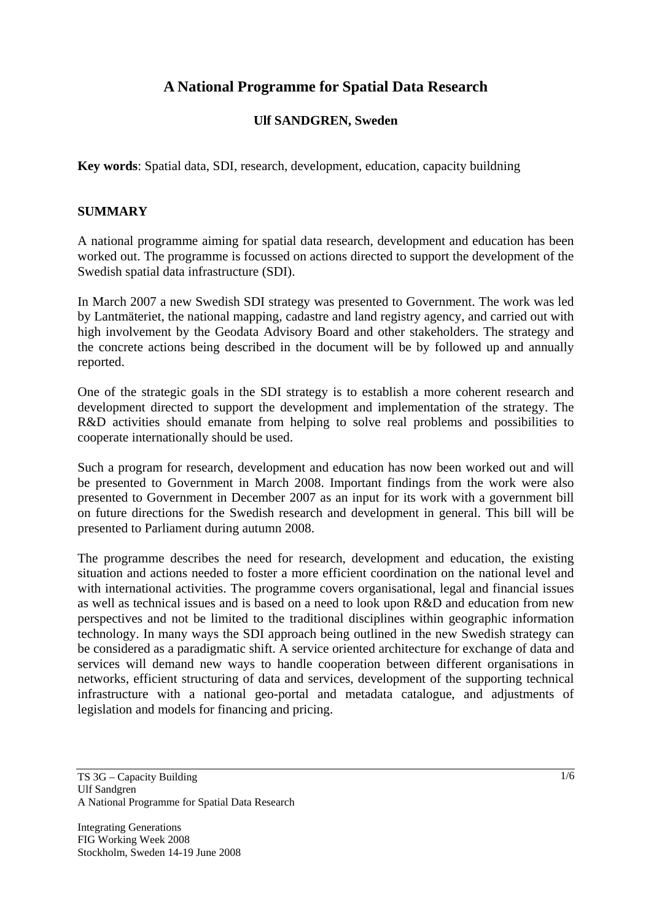# **A National Programme for Spatial Data Research**

### **Ulf SANDGREN, Sweden**

**Key words**: Spatial data, SDI, research, development, education, capacity buildning

#### **SUMMARY**

A national programme aiming for spatial data research, development and education has been worked out. The programme is focussed on actions directed to support the development of the Swedish spatial data infrastructure (SDI).

In March 2007 a new Swedish SDI strategy was presented to Government. The work was led by Lantmäteriet, the national mapping, cadastre and land registry agency, and carried out with high involvement by the Geodata Advisory Board and other stakeholders. The strategy and the concrete actions being described in the document will be by followed up and annually reported.

One of the strategic goals in the SDI strategy is to establish a more coherent research and development directed to support the development and implementation of the strategy. The R&D activities should emanate from helping to solve real problems and possibilities to cooperate internationally should be used.

Such a program for research, development and education has now been worked out and will be presented to Government in March 2008. Important findings from the work were also presented to Government in December 2007 as an input for its work with a government bill on future directions for the Swedish research and development in general. This bill will be presented to Parliament during autumn 2008.

The programme describes the need for research, development and education, the existing situation and actions needed to foster a more efficient coordination on the national level and with international activities. The programme covers organisational, legal and financial issues as well as technical issues and is based on a need to look upon R&D and education from new perspectives and not be limited to the traditional disciplines within geographic information technology. In many ways the SDI approach being outlined in the new Swedish strategy can be considered as a paradigmatic shift. A service oriented architecture for exchange of data and services will demand new ways to handle cooperation between different organisations in networks, efficient structuring of data and services, development of the supporting technical infrastructure with a national geo-portal and metadata catalogue, and adjustments of legislation and models for financing and pricing.

Integrating Generations FIG Working Week 2008 Stockholm, Sweden 14-19 June 2008

TS 3G – Capacity Building Ulf Sandgren A National Programme for Spatial Data Research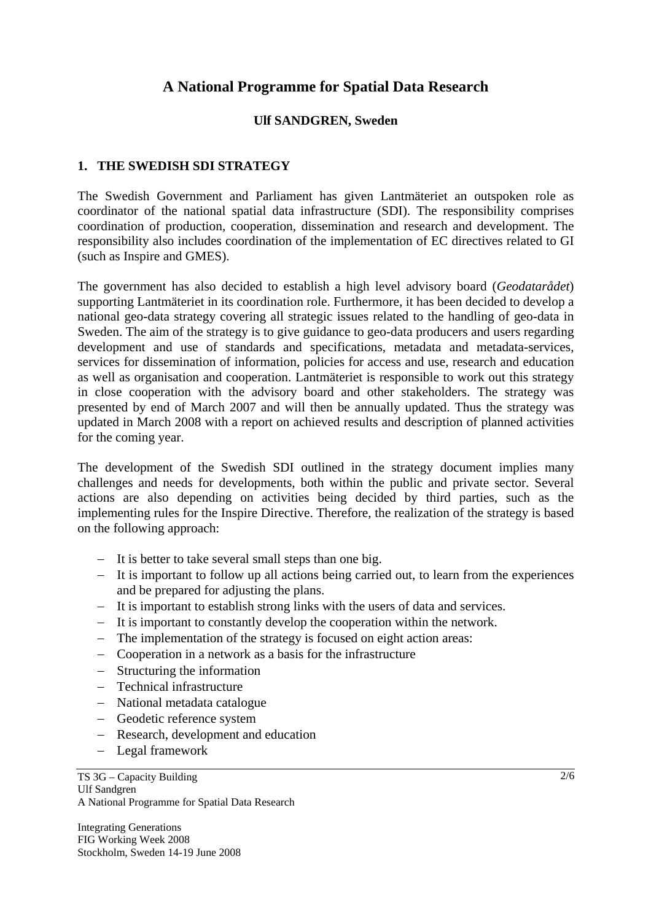# **A National Programme for Spatial Data Research**

#### **Ulf SANDGREN, Sweden**

### **1. THE SWEDISH SDI STRATEGY**

The Swedish Government and Parliament has given Lantmäteriet an outspoken role as coordinator of the national spatial data infrastructure (SDI). The responsibility comprises coordination of production, cooperation, dissemination and research and development. The responsibility also includes coordination of the implementation of EC directives related to GI (such as Inspire and GMES).

The government has also decided to establish a high level advisory board (*Geodatarådet*) supporting Lantmäteriet in its coordination role. Furthermore, it has been decided to develop a national geo-data strategy covering all strategic issues related to the handling of geo-data in Sweden. The aim of the strategy is to give guidance to geo-data producers and users regarding development and use of standards and specifications, metadata and metadata-services, services for dissemination of information, policies for access and use, research and education as well as organisation and cooperation. Lantmäteriet is responsible to work out this strategy in close cooperation with the advisory board and other stakeholders. The strategy was presented by end of March 2007 and will then be annually updated. Thus the strategy was updated in March 2008 with a report on achieved results and description of planned activities for the coming year.

The development of the Swedish SDI outlined in the strategy document implies many challenges and needs for developments, both within the public and private sector. Several actions are also depending on activities being decided by third parties, such as the implementing rules for the Inspire Directive. Therefore, the realization of the strategy is based on the following approach:

- − It is better to take several small steps than one big.
- − It is important to follow up all actions being carried out, to learn from the experiences and be prepared for adjusting the plans.
- − It is important to establish strong links with the users of data and services.
- − It is important to constantly develop the cooperation within the network.
- − The implementation of the strategy is focused on eight action areas:
- − Cooperation in a network as a basis for the infrastructure
- − Structuring the information
- − Technical infrastructure
- − National metadata catalogue
- − Geodetic reference system
- − Research, development and education
- − Legal framework

TS 3G – Capacity Building Ulf Sandgren A National Programme for Spatial Data Research

Integrating Generations FIG Working Week 2008 Stockholm, Sweden 14-19 June 2008 2/6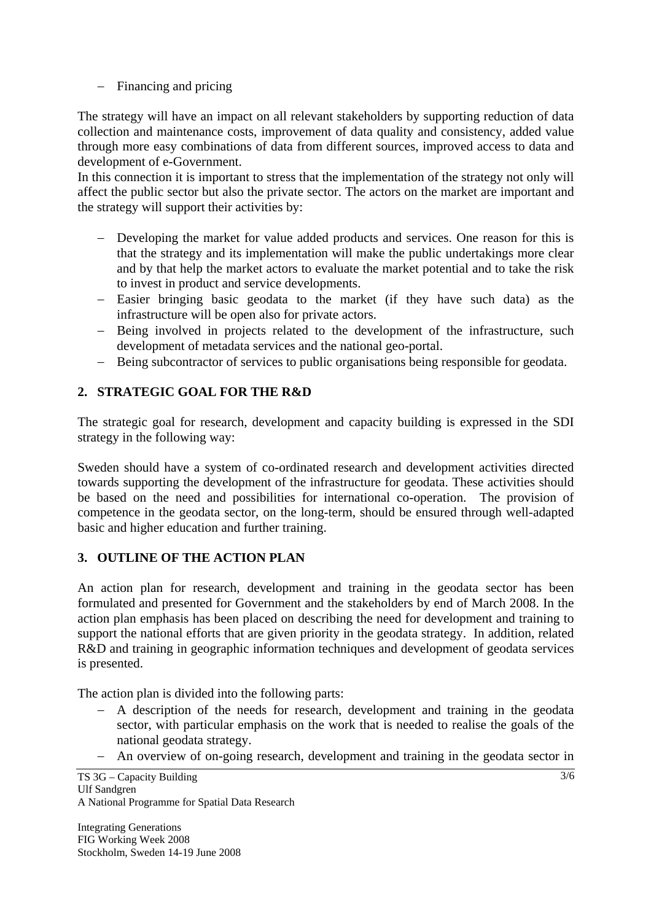## − Financing and pricing

The strategy will have an impact on all relevant stakeholders by supporting reduction of data collection and maintenance costs, improvement of data quality and consistency, added value through more easy combinations of data from different sources, improved access to data and development of e-Government.

In this connection it is important to stress that the implementation of the strategy not only will affect the public sector but also the private sector. The actors on the market are important and the strategy will support their activities by:

- − Developing the market for value added products and services. One reason for this is that the strategy and its implementation will make the public undertakings more clear and by that help the market actors to evaluate the market potential and to take the risk to invest in product and service developments.
- − Easier bringing basic geodata to the market (if they have such data) as the infrastructure will be open also for private actors.
- − Being involved in projects related to the development of the infrastructure, such development of metadata services and the national geo-portal.
- − Being subcontractor of services to public organisations being responsible for geodata.

# **2. STRATEGIC GOAL FOR THE R&D**

The strategic goal for research, development and capacity building is expressed in the SDI strategy in the following way:

Sweden should have a system of co-ordinated research and development activities directed towards supporting the development of the infrastructure for geodata. These activities should be based on the need and possibilities for international co-operation. The provision of competence in the geodata sector, on the long-term, should be ensured through well-adapted basic and higher education and further training.

# **3. OUTLINE OF THE ACTION PLAN**

An action plan for research, development and training in the geodata sector has been formulated and presented for Government and the stakeholders by end of March 2008. In the action plan emphasis has been placed on describing the need for development and training to support the national efforts that are given priority in the geodata strategy. In addition, related R&D and training in geographic information techniques and development of geodata services is presented.

The action plan is divided into the following parts:

- − A description of the needs for research, development and training in the geodata sector, with particular emphasis on the work that is needed to realise the goals of the national geodata strategy.
- − An overview of on-going research, development and training in the geodata sector in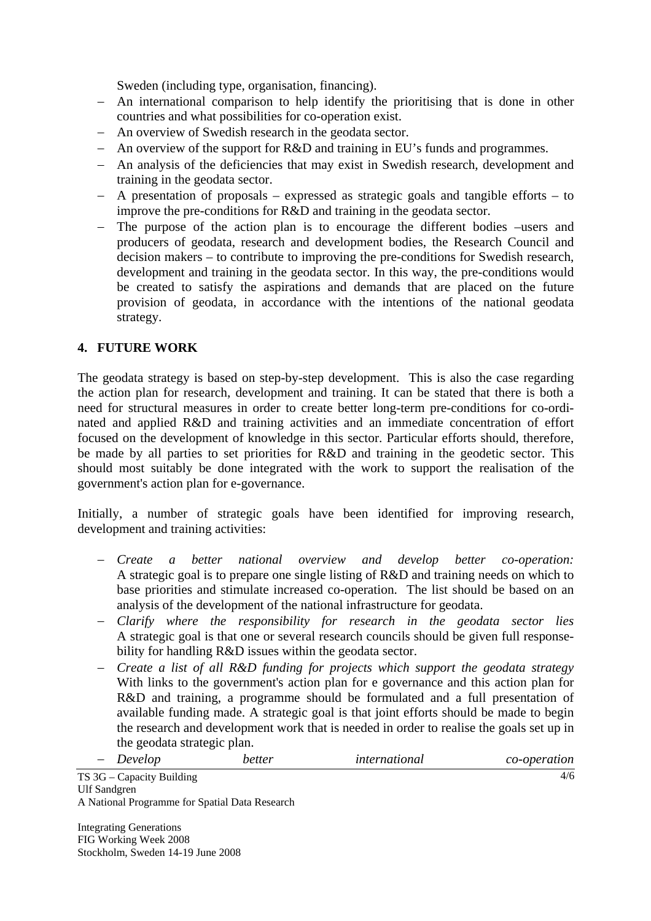Sweden (including type, organisation, financing).

- − An international comparison to help identify the prioritising that is done in other countries and what possibilities for co-operation exist.
- − An overview of Swedish research in the geodata sector.
- − An overview of the support for R&D and training in EU's funds and programmes.
- − An analysis of the deficiencies that may exist in Swedish research, development and training in the geodata sector.
- − A presentation of proposals expressed as strategic goals and tangible efforts to improve the pre-conditions for R&D and training in the geodata sector.
- − The purpose of the action plan is to encourage the different bodies –users and producers of geodata, research and development bodies, the Research Council and decision makers – to contribute to improving the pre-conditions for Swedish research, development and training in the geodata sector. In this way, the pre-conditions would be created to satisfy the aspirations and demands that are placed on the future provision of geodata, in accordance with the intentions of the national geodata strategy.

### **4. FUTURE WORK**

The geodata strategy is based on step-by-step development. This is also the case regarding the action plan for research, development and training. It can be stated that there is both a need for structural measures in order to create better long-term pre-conditions for co-ordinated and applied R&D and training activities and an immediate concentration of effort focused on the development of knowledge in this sector. Particular efforts should, therefore, be made by all parties to set priorities for R&D and training in the geodetic sector. This should most suitably be done integrated with the work to support the realisation of the government's action plan for e-governance.

Initially, a number of strategic goals have been identified for improving research, development and training activities:

- − *Create a better national overview and develop better co-operation:* A strategic goal is to prepare one single listing of R&D and training needs on which to base priorities and stimulate increased co-operation. The list should be based on an analysis of the development of the national infrastructure for geodata.
- − *Clarify where the responsibility for research in the geodata sector lies* A strategic goal is that one or several research councils should be given full responsebility for handling R&D issues within the geodata sector.
- − *Create a list of all R&D funding for projects which support the geodata strategy* With links to the government's action plan for e governance and this action plan for R&D and training, a programme should be formulated and a full presentation of available funding made. A strategic goal is that joint efforts should be made to begin the research and development work that is needed in order to realise the goals set up in the geodata strategic plan.

| Develop<br>$\overline{\phantom{0}}$ | better | international | co-operation |
|-------------------------------------|--------|---------------|--------------|
| S 3G – Canacity Building            |        |               | 4/6          |

TS 3G – Capacity Building Ulf Sandgren A National Programme for Spatial Data Research

Integrating Generations FIG Working Week 2008 Stockholm, Sweden 14-19 June 2008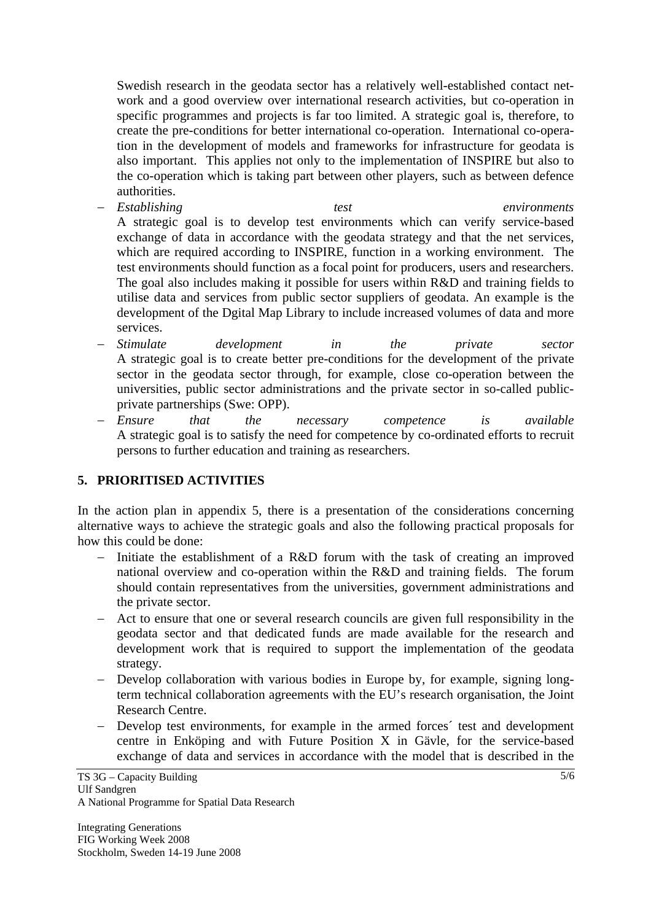Swedish research in the geodata sector has a relatively well-established contact network and a good overview over international research activities, but co-operation in specific programmes and projects is far too limited. A strategic goal is, therefore, to create the pre-conditions for better international co-operation. International co-operation in the development of models and frameworks for infrastructure for geodata is also important. This applies not only to the implementation of INSPIRE but also to the co-operation which is taking part between other players, such as between defence authorities.

- − *Establishing test environments*  A strategic goal is to develop test environments which can verify service-based exchange of data in accordance with the geodata strategy and that the net services, which are required according to INSPIRE, function in a working environment. The test environments should function as a focal point for producers, users and researchers. The goal also includes making it possible for users within R&D and training fields to utilise data and services from public sector suppliers of geodata. An example is the development of the Dgital Map Library to include increased volumes of data and more services.
- − *Stimulate development in the private sector*  A strategic goal is to create better pre-conditions for the development of the private sector in the geodata sector through, for example, close co-operation between the universities, public sector administrations and the private sector in so-called publicprivate partnerships (Swe: OPP).
- − *Ensure that the necessary competence is available*  A strategic goal is to satisfy the need for competence by co-ordinated efforts to recruit persons to further education and training as researchers.

### **5. PRIORITISED ACTIVITIES**

In the action plan in appendix 5, there is a presentation of the considerations concerning alternative ways to achieve the strategic goals and also the following practical proposals for how this could be done:

- − Initiate the establishment of a R&D forum with the task of creating an improved national overview and co-operation within the R&D and training fields. The forum should contain representatives from the universities, government administrations and the private sector.
- − Act to ensure that one or several research councils are given full responsibility in the geodata sector and that dedicated funds are made available for the research and development work that is required to support the implementation of the geodata strategy.
- − Develop collaboration with various bodies in Europe by, for example, signing longterm technical collaboration agreements with the EU's research organisation, the Joint Research Centre.
- Develop test environments, for example in the armed forces<sup>γ</sup> test and development centre in Enköping and with Future Position X in Gävle, for the service-based exchange of data and services in accordance with the model that is described in the